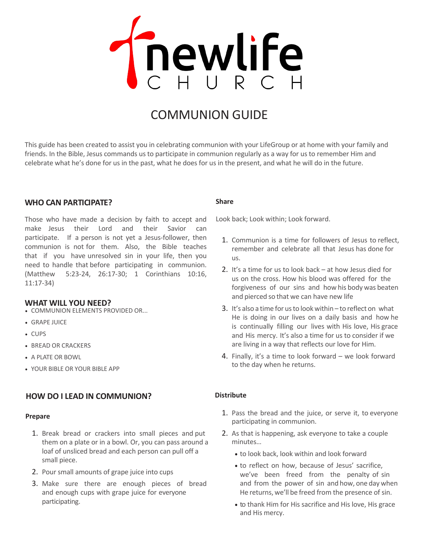

# COMMUNION GUIDE

This guide has been created to assist you in celebrating communion with your LifeGroup or at home with your family and friends. In the Bible, Jesus commands us to participate in communion regularly as a way for us to remember Him and celebrate what he's done for us in the past, what he does for us in the present, and what he will do in the future.

# **WHO CAN PARTICIPATE?**

Those who have made a decision by faith to accept and make Jesus their Lord and their Savior can participate. If a person is not yet a Jesus-follower, then communion is not for them. Also, the Bible teaches that if you have unresolved sin in your life, then you need to handle that before participating in communion. (Matthew 5:23-24, 26:17-30; 1 Corinthians 10:16, 11:17-34)

### **WHAT WILL YOU NEED?**

- COMMUNION ELEMENTS PROVIDED OR...
- GRAPE JUICE
- CUPS
- BREAD OR CRACKERS
- A PLATE OR BOWL
- YOUR BIBLE OR YOUR BIBLE APP

# **HOW DO I LEAD IN COMMUNION?**

## **Prepare**

- 1. Break bread or crackers into small pieces and put them on a plate or in a bowl. Or, you can pass around a loaf of unsliced bread and each person can pull off a small piece.
- 2. Pour small amounts of grape juice into cups
- 3. Make sure there are enough pieces of bread and enough cups with grape juice for everyone participating.

#### **Share**

Look back; Look within; Look forward.

- 1. Communion is a time for followers of Jesus to reflect, remember and celebrate all that Jesus has done for us.
- 2. It's a time for us to look back at how Jesus died for us on the cross. How his blood was offered for the forgiveness of our sins and how his body was beaten and pierced so that we can have new life
- 3. It's also a time for us to look within to reflect on what He is doing in our lives on a daily basis and how he is continually filling our lives with His love, His grace and His mercy. It's also a time for us to consider if we are living in a way that reflects our love for Him.
- 4. Finally, it's a time to look forward we look forward to the day when he returns.

### **Distribute**

- 1. Pass the bread and the juice, or serve it, to everyone participating in communion.
- 2. As that is happening, ask everyone to take a couple minutes…
	- to look back, look within and look forward
	- to reflect on how, because of Jesus' sacrifice, we've been freed from the penalty of sin and from the power of sin and how, one day when He returns, we'll be freed from the presence of sin.
	- to thank Him for His sacrifice and His love, His grace and His mercy.